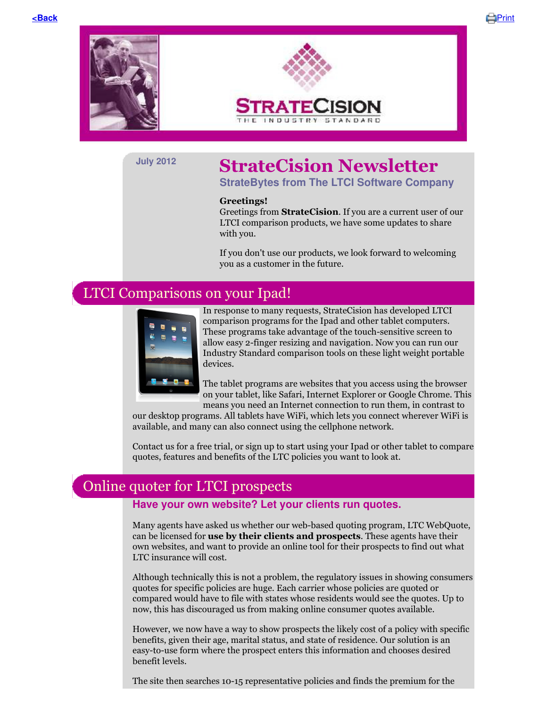





# **July 2012 StrateCision Newsletter**

**StrateBytes from The LTCI Software Company**

### **Greetings!**

Greetings from **StrateCision**. If you are a current user of our LTCI comparison products, we have some updates to share with you.

If you don't use our products, we look forward to welcoming you as a customer in the future.

## LTCI Comparisons on your Ipad!



In response to many requests, StrateCision has developed LTCI comparison programs for the Ipad and other tablet computers. These programs take advantage of the touch-sensitive screen to allow easy 2-finger resizing and navigation. Now you can run our Industry Standard comparison tools on these light weight portable devices.

The tablet programs are websites that you access using the browser on your tablet, like Safari, Internet Explorer or Google Chrome. This means you need an Internet connection to run them, in contrast to

our desktop programs. All tablets have WiFi, which lets you connect wherever WiFi is available, and many can also connect using the cellphone network.

Contact us for a free trial, or sign up to start using your Ipad or other tablet to compare quotes, features and benefits of the LTC policies you want to look at.

## Online quoter for LTCI prospects

### **Have your own website? Let your clients run quotes.**

Many agents have asked us whether our web-based quoting program, LTC WebQuote, can be licensed for **use by their clients and prospects**. These agents have their own websites, and want to provide an online tool for their prospects to find out what LTC insurance will cost.

Although technically this is not a problem, the regulatory issues in showing consumers quotes for specific policies are huge. Each carrier whose policies are quoted or compared would have to file with states whose residents would see the quotes. Up to now, this has discouraged us from making online consumer quotes available.

However, we now have a way to show prospects the likely cost of a policy with specific benefits, given their age, marital status, and state of residence. Our solution is an easy-to-use form where the prospect enters this information and chooses desired benefit levels.

The site then searches 10-15 representative policies and finds the premium for the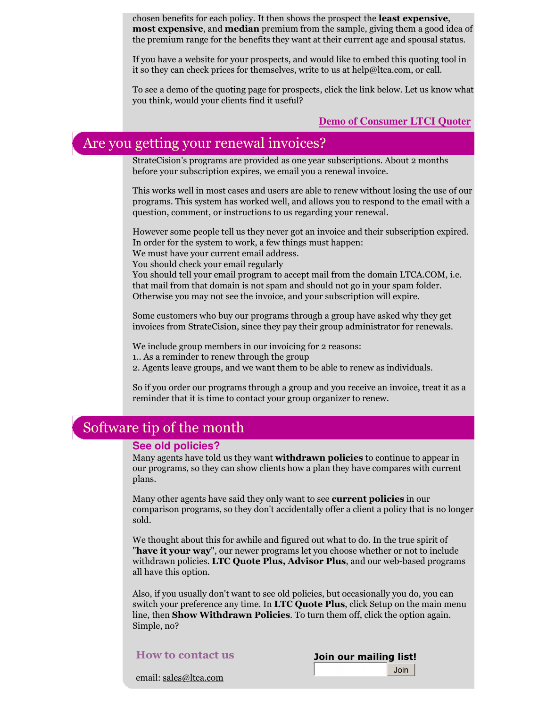chosen benefits for each policy. It then shows the prospect the **least expensive**, **most expensive**, and **median** premium from the sample, giving them a good idea of the premium range for the benefits they want at their current age and spousal status.

If you have a website for your prospects, and would like to embed this quoting tool in it so they can check prices for themselves, write to us at help@ltca.com, or call.

To see a demo of the quoting page for prospects, click the link below. Let us know what you think, would your clients find it useful?

**Demo of Consumer LTCI Quoter**

# Are you getting your renewal invoices?

StrateCision's programs are provided as one year subscriptions. About 2 months before your subscription expires, we email you a renewal invoice.

This works well in most cases and users are able to renew without losing the use of our programs. This system has worked well, and allows you to respond to the email with a question, comment, or instructions to us regarding your renewal.

However some people tell us they never got an invoice and their subscription expired. In order for the system to work, a few things must happen:

We must have your current email address.

You should check your email regularly

You should tell your email program to accept mail from the domain LTCA.COM, i.e. that mail from that domain is not spam and should not go in your spam folder. Otherwise you may not see the invoice, and your subscription will expire.

Some customers who buy our programs through a group have asked why they get invoices from StrateCision, since they pay their group administrator for renewals.

We include group members in our invoicing for 2 reasons:

1.. As a reminder to renew through the group

2. Agents leave groups, and we want them to be able to renew as individuals.

So if you order our programs through a group and you receive an invoice, treat it as a reminder that it is time to contact your group organizer to renew.

### Software tip of the month

### **See old policies?**

Many agents have told us they want **withdrawn policies** to continue to appear in our programs, so they can show clients how a plan they have compares with current plans.

Many other agents have said they only want to see **current policies** in our comparison programs, so they don't accidentally offer a client a policy that is no longer sold.

We thought about this for awhile and figured out what to do. In the true spirit of "**have it your way**", our newer programs let you choose whether or not to include withdrawn policies. **LTC Quote Plus, Advisor Plus**, and our web-based programs all have this option.

Also, if you usually don't want to see old policies, but occasionally you do, you can switch your preference any time. In **LTC Quote Plus**, click Setup on the main menu line, then **Show Withdrawn Policies**. To turn them off, click the option again. Simple, no?

**How to contact us**

**Join our mailing list!**Join

email: sales@ltca.com